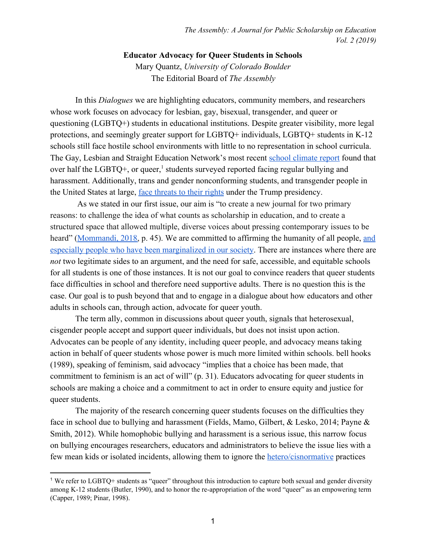## **Educator Advocacy for Queer Students in Schools**

Mary Quantz, *University of Colorado Boulder* The Editorial Board of *The Assembly*

In this *Dialogues* we are highlighting educators, community members, and researchers whose work focuses on advocacy for lesbian, gay, bisexual, transgender, and queer or questioning (LGBTQ+) students in educational institutions. Despite greater visibility, more legal protections, and seemingly greater support for LGBTQ+ individuals, LGBTQ+ students in K-12 schools still face hostile school environments with little to no representation in school curricula. The Gay, Lesbian and Straight Education Network's most recent [school climate report](https://www.glsen.org/article/2017-national-school-climate-survey) found that over half the LGBTQ+, or queer,<sup>1</sup> students surveyed reported facing regular bullying and harassment. Additionally, trans and gender nonconforming students, and transgender people in the United States at large, [face threats to their rights](https://transequality.org/the-discrimination-administration) under the Trump presidency.

 As we stated in our first issue, our aim is "to create a new journal for two primary reasons: to challenge the idea of what counts as scholarship in education, and to create a structured space that allowed multiple, diverse voices about pressing contemporary issues to be heard" ([Mommandi, 2018,](https://www.colorado.edu/journal/assembly/2018/12/12/introduction-dialogues) p. 45). We are committed to affirming the humanity of all people, [and](https://www.colorado.edu/journal/assembly/about-assembly) [especially people who have been marginalized in our society.](https://www.colorado.edu/journal/assembly/about-assembly) There are instances where there are *not* two legitimate sides to an argument, and the need for safe, accessible, and equitable schools for all students is one of those instances. It is not our goal to convince readers that queer students face difficulties in school and therefore need supportive adults. There is no question this is the case. Our goal is to push beyond that and to engage in a dialogue about how educators and other adults in schools can, through action, advocate for queer youth.

The term ally, common in discussions about queer youth, signals that heterosexual, cisgender people accept and support queer individuals, but does not insist upon action. Advocates can be people of any identity, including queer people, and advocacy means taking action in behalf of queer students whose power is much more limited within schools. bell hooks (1989), speaking of feminism, said advocacy "implies that a choice has been made, that commitment to feminism is an act of will" (p. 31). Educators advocating for queer students in schools are making a choice and a commitment to act in order to ensure equity and justice for queer students.

The majority of the research concerning queer students focuses on the difficulties they face in school due to bullying and harassment (Fields, Mamo, Gilbert, & Lesko, 2014; Payne & Smith, 2012). While homophobic bullying and harassment is a serious issue, this narrow focus on bullying encourages researchers, educators and administrators to believe the issue lies with a few mean kids or isolated incidents, allowing them to ignore the [hetero/cisnormative](http://www.transstudent.org/definitions/) practices

<sup>1</sup> We refer to LGBTQ+ students as "queer" throughout this introduction to capture both sexual and gender diversity among K-12 students (Butler, 1990), and to honor the re-appropriation of the word "queer" as an empowering term (Capper, 1989; Pinar, 1998).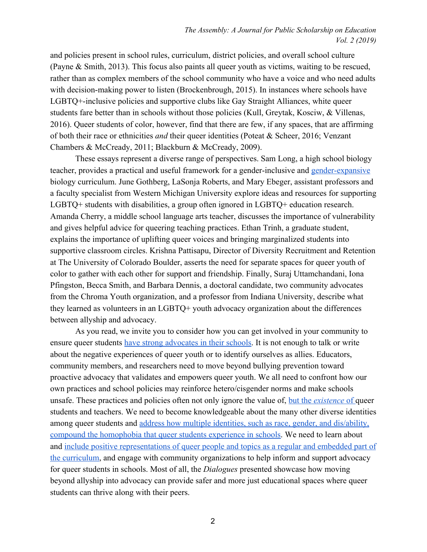and policies present in school rules, curriculum, district policies, and overall school culture (Payne & Smith, 2013). This focus also paints all queer youth as victims, waiting to be rescued, rather than as complex members of the school community who have a voice and who need adults with decision-making power to listen (Brockenbrough, 2015). In instances where schools have LGBTQ+-inclusive policies and supportive clubs like Gay Straight Alliances, white queer students fare better than in schools without those policies (Kull, Greytak, Kosciw, & Villenas, 2016). Queer students of color, however, find that there are few, if any spaces, that are affirming of both their race or ethnicities *and* their queer identities (Poteat & Scheer, 2016; Venzant Chambers & McCready, 2011; Blackburn & McCready, 2009).

These essays represent a diverse range of perspectives. Sam Long, a high school biology teacher, provides a practical and useful framework for a gender-inclusive and [gender-expansive](https://www.genderspectrum.org/glossary/gender-expansive/) biology curriculum. June Gothberg, LaSonja Roberts, and Mary Ebeger, assistant professors and a faculty specialist from Western Michigan University explore ideas and resources for supporting LGBTQ+ students with disabilities, a group often ignored in LGBTQ+ education research. Amanda Cherry, a middle school language arts teacher, discusses the importance of vulnerability and gives helpful advice for queering teaching practices. Ethan Trinh, a graduate student, explains the importance of uplifting queer voices and bringing marginalized students into supportive classroom circles. Krishna Pattisapu, Director of Diversity Recruitment and Retention at The University of Colorado Boulder, asserts the need for separate spaces for queer youth of color to gather with each other for support and friendship. Finally, Suraj Uttamchandani, Iona Pfingston, Becca Smith, and Barbara Dennis, a doctoral candidate, two community advocates from the Chroma Youth organization, and a professor from Indiana University, describe what they learned as volunteers in an LGBTQ+ youth advocacy organization about the differences between allyship and advocacy.

As you read, we invite you to consider how you can get involved in your community to ensure queer students [have strong advocates in their schools.](https://www.tolerance.org/magazine/fall-2018/tts-new-lgbtq-best-practices-guide) It is not enough to talk or write about the negative experiences of queer youth or to identify ourselves as allies. Educators, community members, and researchers need to move beyond bullying prevention toward proactive advocacy that validates and empowers queer youth. We all need to confront how our own practices and school policies may reinforce hetero/cisgender norms and make schools unsafe. These practices and policies often not only ignore the value of, [but the](https://www.edweek.org/ew/articles/2019/06/24/what-teachers-need-to-know-to-do.html) *[existence](https://www.edweek.org/ew/articles/2019/06/24/what-teachers-need-to-know-to-do.html)* [of q](https://www.edweek.org/ew/articles/2019/06/24/what-teachers-need-to-know-to-do.html)ueer students and teachers. We need to become knowledgeable about the many other diverse identities among queer students and [address how multiple identities, such as race, gender, and dis/ability,](http://www.swiftschools.org/talk/understanding-intersectionality-critical-advancing-educational-equity-all) [compound the homophobia that queer students experience in schools.](http://www.swiftschools.org/talk/understanding-intersectionality-critical-advancing-educational-equity-all) We need to learn about and [include positive representations of queer people and topics as a regular and embedded part of](https://www.glsen.org/sites/default/files/GLSEN%20Safe%20Space%20Kit.pdf) [the curriculum](https://www.glsen.org/sites/default/files/GLSEN%20Safe%20Space%20Kit.pdf), and engage with community organizations to help inform and support advocacy for queer students in schools. Most of all, the *Dialogues* presented showcase how moving beyond allyship into advocacy can provide safer and more just educational spaces where queer students can thrive along with their peers.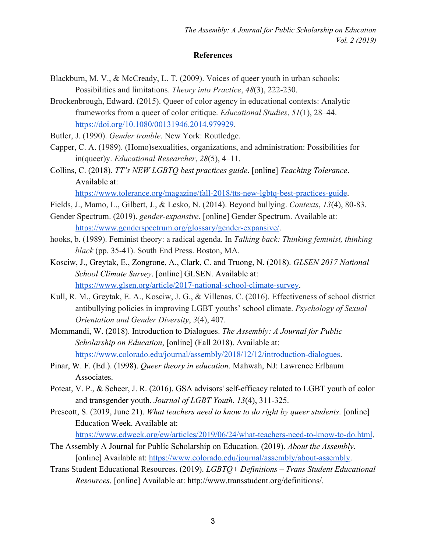## **References**

- Blackburn, M. V., & McCready, L. T. (2009). Voices of queer youth in urban schools: Possibilities and limitations. *Theory into Practice*, *48*(3), 222-230.
- Brockenbrough, Edward. (2015). Queer of color agency in educational contexts: Analytic frameworks from a queer of color critique. *Educational Studies*, *51*(1), 28–44. <https://doi.org/10.1080/00131946.2014.979929>.
- Butler, J. (1990). *Gender trouble*. New York: Routledge.
- Capper, C. A. (1989). (Homo)sexualities, organizations, and administration: Possibilities for in(queer)y. *Educational Researcher*, *28*(5), 4–11.
- Collins, C. (2018). *TT's NEW LGBTQ best practices guide*. [online] *Teaching Tolerance*. Available at:

[https://www.tolerance.org/magazine/fall-2018/tts-new-lgbtq-best-practices-guide.](https://www.tolerance.org/magazine/fall-2018/tts-new-lgbtq-best-practices-guide)

- Fields, J., Mamo, L., Gilbert, J., & Lesko, N. (2014). Beyond bullying. *Contexts*, *13*(4), 80-83.
- Gender Spectrum. (2019). *gender-expansive*. [online] Gender Spectrum. Available at: <https://www.genderspectrum.org/glossary/gender-expansive/>.
- hooks, b. (1989). Feminist theory: a radical agenda. In *Talking back: Thinking feminist, thinking black* (pp. 35-41). South End Press. Boston, MA.
- Kosciw, J., Greytak, E., Zongrone, A., Clark, C. and Truong, N. (2018). *GLSEN 2017 National School Climate Survey*. [online] GLSEN. Available at: <https://www.glsen.org/article/2017-national-school-climate-survey>.
- Kull, R. M., Greytak, E. A., Kosciw, J. G., & Villenas, C. (2016). Effectiveness of school district antibullying policies in improving LGBT youths' school climate. *Psychology of Sexual Orientation and Gender Diversity*, *3*(4), 407.
- Mommandi, W. (2018). Introduction to Dialogues. *The Assembly: A Journal for Public Scholarship on Education*, [online] (Fall 2018). Available at: [https://www.colorado.edu/journal/assembly/2018/12/12/introduction-dialogues.](https://www.colorado.edu/journal/assembly/2018/12/12/introduction-dialogues)
- Pinar, W. F. (Ed.). (1998). *Queer theory in education*. Mahwah, NJ: Lawrence Erlbaum Associates.
- Poteat, V. P., & Scheer, J. R. (2016). GSA advisors' self-efficacy related to LGBT youth of color and transgender youth. *Journal of LGBT Youth*, *13*(4), 311-325.
- Prescott, S. (2019, June 21). *What teachers need to know to do right by queer students*. [online] Education Week. Available at:

<https://www.edweek.org/ew/articles/2019/06/24/what-teachers-need-to-know-to-do.html>.

- The Assembly A Journal for Public Scholarship on Education. (2019). *About the Assembly*. [online] Available at: <https://www.colorado.edu/journal/assembly/about-assembly>.
- Trans Student Educational Resources. (2019). *LGBTQ+ Definitions Trans Student Educational Resources*. [online] Available at: http://www.transstudent.org/definitions/.